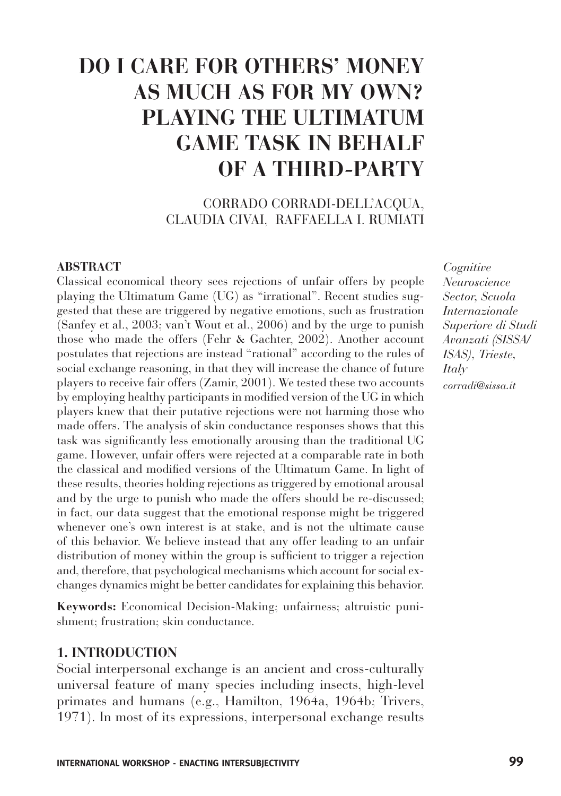# **DO I CARE FOR OTHERS' MONEY AS MUCH AS FOR MY OWN? PLAYING THE ULTIMATUM GAME TASK IN BEHALF OF A THIRD-PARTY**

## CORRADO CORRADI-DELL'ACQUA, CLAUDIA CIVAI, RAFFAELLA I. RUMIATI

#### **ABSTRACT**

Classical economical theory sees rejections of unfair offers by people playing the Ultimatum Game (UG) as "irrational". Recent studies suggested that these are triggered by negative emotions, such as frustration (Sanfey et al., 2003; van't Wout et al., 2006) and by the urge to punish those who made the offers (Fehr & Gachter, 2002). Another account postulates that rejections are instead "rational" according to the rules of social exchange reasoning, in that they will increase the chance of future players to receive fair offers (Zamir, 2001). We tested these two accounts by employing healthy participants in modified version of the UG in which players knew that their putative rejections were not harming those who made offers. The analysis of skin conductance responses shows that this task was significantly less emotionally arousing than the traditional UG game. However, unfair offers were rejected at a comparable rate in both the classical and modified versions of the Ultimatum Game. In light of these results, theories holding rejections as triggered by emotional arousal and by the urge to punish who made the offers should be re-discussed; in fact, our data suggest that the emotional response might be triggered whenever one's own interest is at stake, and is not the ultimate cause of this behavior. We believe instead that any offer leading to an unfair distribution of money within the group is sufficient to trigger a rejection and, therefore, that psychological mechanisms which account for social exchanges dynamics might be better candidates for explaining this behavior.

**Keywords:** Economical Decision-Making; unfairness; altruistic punishment; frustration; skin conductance.

## **1. INTRODUCTION**

Social interpersonal exchange is an ancient and cross-culturally universal feature of many species including insects, high-level primates and humans (e.g., Hamilton, 1964a, 1964b; Trivers, 1971). In most of its expressions, interpersonal exchange results *Cognitive Neuroscience Sector, Scuola Internazionale Superiore di Studi Avanzati (SISSA/ ISAS), Trieste, Italy corradi@sissa.it*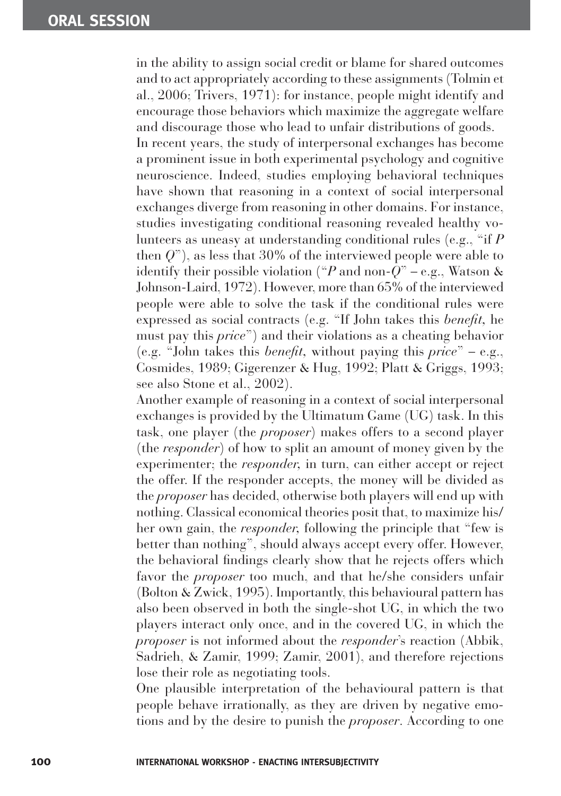in the ability to assign social credit or blame for shared outcomes and to act appropriately according to these assignments (Tolmin et al., 2006; Trivers, 1971): for instance, people might identify and encourage those behaviors which maximize the aggregate welfare and discourage those who lead to unfair distributions of goods.

In recent years, the study of interpersonal exchanges has become a prominent issue in both experimental psychology and cognitive neuroscience. Indeed, studies employing behavioral techniques have shown that reasoning in a context of social interpersonal exchanges diverge from reasoning in other domains. For instance, studies investigating conditional reasoning revealed healthy volunteers as uneasy at understanding conditional rules (e.g., "if *P* then *Q*"), as less that 30% of the interviewed people were able to identify their possible violation ("*P* and non-*Q*" – e.g., Watson & Johnson-Laird, 1972). However, more than 65% of the interviewed people were able to solve the task if the conditional rules were expressed as social contracts (e.g. "If John takes this *benefit*, he must pay this *price*") and their violations as a cheating behavior (e.g. "John takes this *benefit*, without paying this *price*" – e.g., Cosmides, 1989; Gigerenzer & Hug, 1992; Platt & Griggs, 1993; see also Stone et al., 2002).

Another example of reasoning in a context of social interpersonal exchanges is provided by the Ultimatum Game (UG) task. In this task, one player (the *proposer*) makes offers to a second player (the *responder*) of how to split an amount of money given by the experimenter; the *responder,* in turn, can either accept or reject the offer. If the responder accepts, the money will be divided as the *proposer* has decided, otherwise both players will end up with nothing. Classical economical theories posit that, to maximize his/ her own gain, the *responder,* following the principle that "few is better than nothing", should always accept every offer. However, the behavioral findings clearly show that he rejects offers which favor the *proposer* too much, and that he/she considers unfair (Bolton & Zwick, 1995). Importantly, this behavioural pattern has also been observed in both the single-shot UG, in which the two players interact only once, and in the covered UG, in which the *proposer* is not informed about the *responder*'s reaction (Abbik, Sadrieh, & Zamir, 1999; Zamir, 2001), and therefore rejections lose their role as negotiating tools.

One plausible interpretation of the behavioural pattern is that people behave irrationally, as they are driven by negative emotions and by the desire to punish the *proposer*. According to one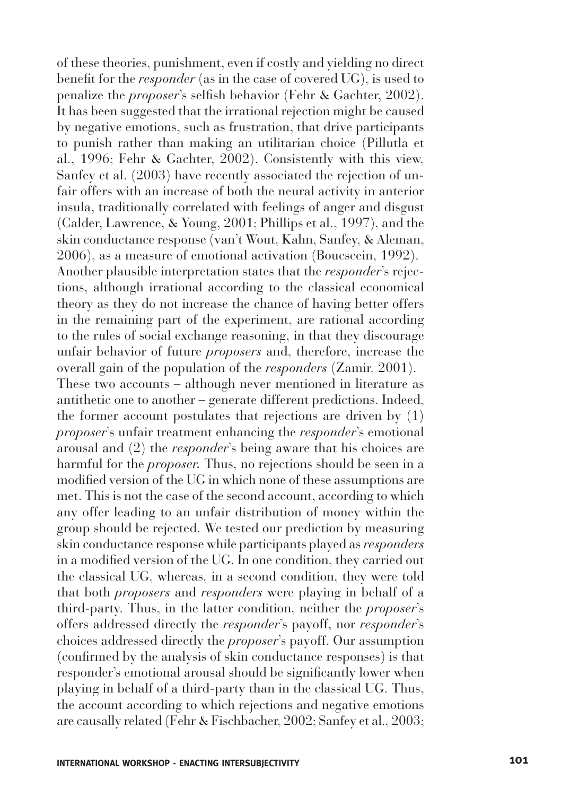of these theories, punishment, even if costly and yielding no direct benefit for the *responder* (as in the case of covered UG), is used to penalize the *proposer*'s selfish behavior (Fehr & Gachter, 2002). It has been suggested that the irrational rejection might be caused by negative emotions, such as frustration, that drive participants to punish rather than making an utilitarian choice (Pillutla et al., 1996; Fehr & Gachter, 2002). Consistently with this view, Sanfey et al. (2003) have recently associated the rejection of unfair offers with an increase of both the neural activity in anterior insula, traditionally correlated with feelings of anger and disgust (Calder, Lawrence, & Young, 2001; Phillips et al., 1997), and the skin conductance response (van't Wout, Kahn, Sanfey, & Aleman, 2006), as a measure of emotional activation (Boucscein, 1992). Another plausible interpretation states that the *responder*'s rejections, although irrational according to the classical economical theory as they do not increase the chance of having better offers in the remaining part of the experiment, are rational according to the rules of social exchange reasoning, in that they discourage unfair behavior of future *proposers* and, therefore, increase the overall gain of the population of the *responders* (Zamir, 2001). These two accounts – although never mentioned in literature as antithetic one to another – generate different predictions. Indeed, the former account postulates that rejections are driven by (1) *proposer*'s unfair treatment enhancing the *responder*'s emotional arousal and (2) the *responder*'s being aware that his choices are harmful for the *proposer.* Thus, no rejections should be seen in a modified version of the UG in which none of these assumptions are met. This is not the case of the second account, according to which any offer leading to an unfair distribution of money within the group should be rejected. We tested our prediction by measuring skin conductance response while participants played as *responders*  in a modified version of the UG. In one condition, they carried out the classical UG, whereas, in a second condition, they were told that both *proposers* and *responders* were playing in behalf of a third-party. Thus, in the latter condition, neither the *proposer*'s offers addressed directly the *responder*'s payoff, nor *responder*'s choices addressed directly the *proposer*'s payoff. Our assumption (confirmed by the analysis of skin conductance responses) is that responder's emotional arousal should be significantly lower when playing in behalf of a third-party than in the classical UG. Thus, the account according to which rejections and negative emotions are causally related (Fehr & Fischbacher, 2002; Sanfey et al., 2003;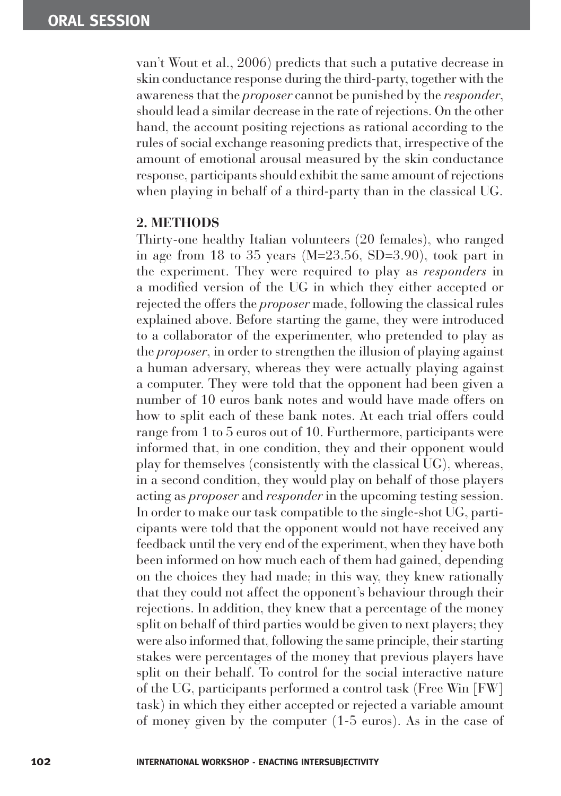van't Wout et al., 2006) predicts that such a putative decrease in skin conductance response during the third-party, together with the awareness that the *proposer* cannot be punished by the *responder*, should lead a similar decrease in the rate of rejections. On the other hand, the account positing rejections as rational according to the rules of social exchange reasoning predicts that, irrespective of the amount of emotional arousal measured by the skin conductance response, participants should exhibit the same amount of rejections when playing in behalf of a third-party than in the classical UG.

#### **2. METHODS**

Thirty-one healthy Italian volunteers (20 females), who ranged in age from 18 to 35 years  $(M=23.56, SD=3.90)$ , took part in the experiment. They were required to play as *responders* in a modified version of the UG in which they either accepted or rejected the offers the *proposer* made, following the classical rules explained above. Before starting the game, they were introduced to a collaborator of the experimenter, who pretended to play as the *proposer*, in order to strengthen the illusion of playing against a human adversary, whereas they were actually playing against a computer. They were told that the opponent had been given a number of 10 euros bank notes and would have made offers on how to split each of these bank notes. At each trial offers could range from 1 to 5 euros out of 10. Furthermore, participants were informed that, in one condition, they and their opponent would play for themselves (consistently with the classical UG), whereas, in a second condition, they would play on behalf of those players acting as *proposer* and *responder* in the upcoming testing session. In order to make our task compatible to the single-shot UG, participants were told that the opponent would not have received any feedback until the very end of the experiment, when they have both been informed on how much each of them had gained, depending on the choices they had made; in this way, they knew rationally that they could not affect the opponent's behaviour through their rejections. In addition, they knew that a percentage of the money split on behalf of third parties would be given to next players; they were also informed that, following the same principle, their starting stakes were percentages of the money that previous players have split on their behalf. To control for the social interactive nature of the UG, participants performed a control task (Free Win [FW] task) in which they either accepted or rejected a variable amount of money given by the computer (1-5 euros). As in the case of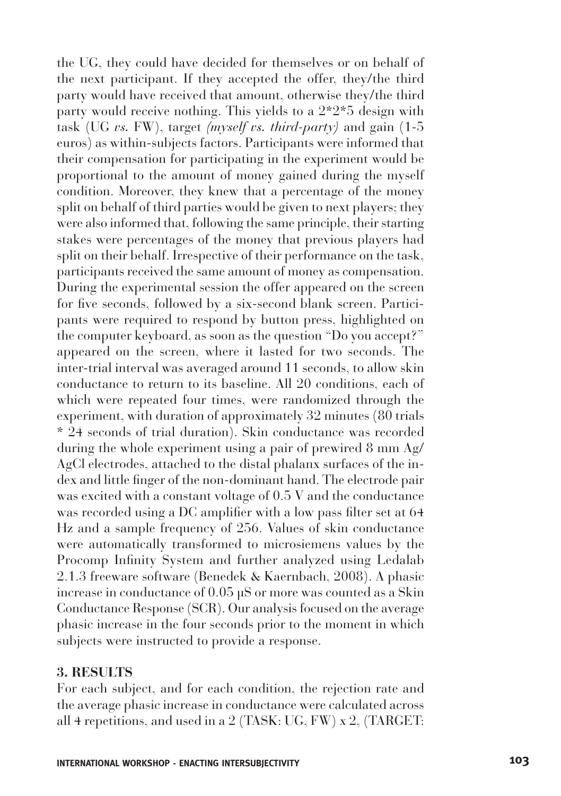the UG, they could have decided for themselves or on behalf of the next participant. If they accepted the offer, they/the third party would have received that amount, otherwise they/the third party would receive nothing. This yields to a 2\*2\*5 design with task (UG *vs.* FW), target *(myself vs. third-party)* and gain (1-5 euros) as within-subjects factors. Participants were informed that their compensation for participating in the experiment would be proportional to the amount of money gained during the myself condition. Moreover, they knew that a percentage of the money split on behalf of third parties would be given to next players; they were also informed that, following the same principle, their starting stakes were percentages of the money that previous players had split on their behalf. Irrespective of their performance on the task, participants received the same amount of money as compensation. During the experimental session the offer appeared on the screen for five seconds, followed by a six-second blank screen. Participants were required to respond by button press, highlighted on the computer keyboard, as soon as the question "Do you accept?" appeared on the screen, where it lasted for two seconds. The inter-trial interval was averaged around 11 seconds, to allow skin conductance to return to its baseline. All 20 conditions, each of which were repeated four times, were randomized through the experiment, with duration of approximately 32 minutes (80 trials \* 24 seconds of trial duration). Skin conductance was recorded during the whole experiment using a pair of prewired 8 mm Ag/ AgCl electrodes, attached to the distal phalanx surfaces of the index and little finger of the non-dominant hand. The electrode pair was excited with a constant voltage of 0.5 V and the conductance was recorded using a DC amplifier with a low pass filter set at 64 Hz and a sample frequency of 256. Values of skin conductance were automatically transformed to microsiemens values by the Procomp Infinity System and further analyzed using Ledalab 2.1.3 freeware software (Benedek & Kaernbach, 2008). A phasic increase in conductance of 0.05 µS or more was counted as a Skin Conductance Response (SCR). Our analysis focused on the average phasic increase in the four seconds prior to the moment in which subjects were instructed to provide a response.

#### **3. RESULTS**

For each subject, and for each condition, the rejection rate and the average phasic increase in conductance were calculated across all 4 repetitions, and used in a 2 (TASK: UG, FW) x 2, (TARGET: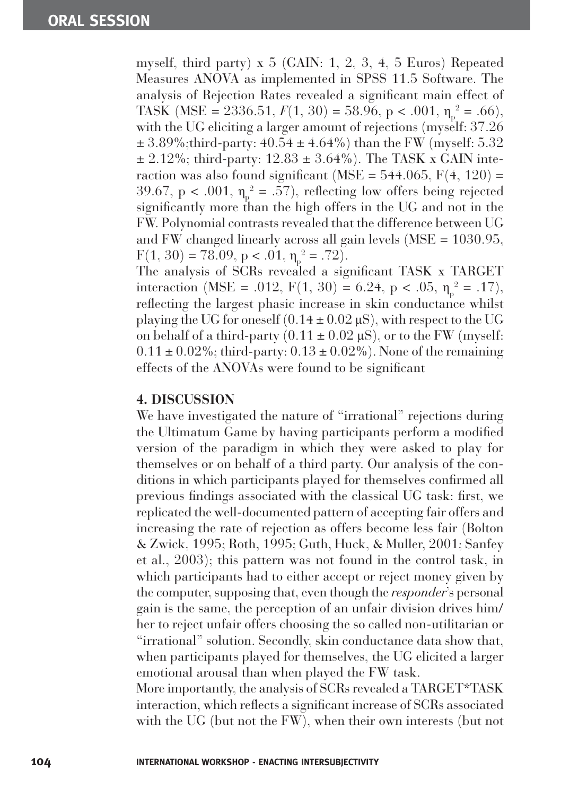myself, third party) x 5 (GAIN: 1, 2, 3, 4, 5 Euros) Repeated Measures ANOVA as implemented in SPSS 11.5 Software. The analysis of Rejection Rates revealed a significant main effect of TASK (MSE = 2336.51,  $F(1, 30) = 58.96$ , p < .001,  $\eta_p^2 = .66$ ), with the UG eliciting a larger amount of rejections (myself: 37.26)  $\pm$  3.89%;third-party: 40.54  $\pm$  4.64%) than the FW (myself: 5.32  $\pm$  2.12%; third-party: 12.83  $\pm$  3.64%). The TASK x GAIN interaction was also found significant (MSE =  $544.065$ , F(4, 120) = 39.67,  $p < .001$ ,  $\eta_{p}^{2} = .57$ ), reflecting low offers being rejected significantly more than the high offers in the UG and not in the FW. Polynomial contrasts revealed that the difference between UG and FW changed linearly across all gain levels (MSE = 1030.95,  $F(1, 30) = 78.09, p < .01, \eta_{p}^{2} = .72$ .

The analysis of SCRs revealed a significant TASK x TARGET interaction (MSE = .012, F(1, 30) = 6.24, p < .05,  $\eta_p^2$  = .17), reflecting the largest phasic increase in skin conductance whilst playing the UG for oneself  $(0.14 \pm 0.02 \,\mu\text{S})$ , with respect to the UG on behalf of a third-party  $(0.11 \pm 0.02 \,\mu s)$ , or to the FW (myself:  $0.11 \pm 0.02\%$ ; third-party:  $0.13 \pm 0.02\%$ ). None of the remaining effects of the ANOVAs were found to be significant

### **4. DISCUSSION**

We have investigated the nature of "irrational" rejections during the Ultimatum Game by having participants perform a modified version of the paradigm in which they were asked to play for themselves or on behalf of a third party. Our analysis of the conditions in which participants played for themselves confirmed all previous findings associated with the classical UG task: first, we replicated the well-documented pattern of accepting fair offers and increasing the rate of rejection as offers become less fair (Bolton & Zwick, 1995; Roth, 1995; Guth, Huck, & Muller, 2001; Sanfey et al., 2003); this pattern was not found in the control task, in which participants had to either accept or reject money given by the computer, supposing that, even though the *responder*'s personal gain is the same, the perception of an unfair division drives him/ her to reject unfair offers choosing the so called non-utilitarian or "irrational" solution. Secondly, skin conductance data show that, when participants played for themselves, the UG elicited a larger emotional arousal than when played the FW task.

More importantly, the analysis of SCRs revealed a TARGET\*TASK interaction, which reflects a significant increase of SCRs associated with the UG (but not the FW), when their own interests (but not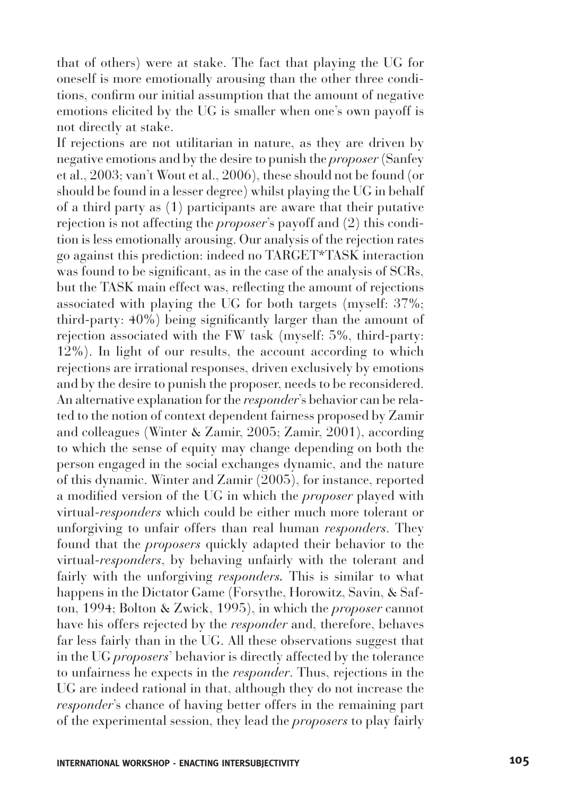that of others) were at stake. The fact that playing the UG for oneself is more emotionally arousing than the other three conditions, confirm our initial assumption that the amount of negative emotions elicited by the UG is smaller when one's own payoff is not directly at stake.

If rejections are not utilitarian in nature, as they are driven by negative emotions and by the desire to punish the *proposer* (Sanfey et al., 2003; van't Wout et al., 2006), these should not be found (or should be found in a lesser degree) whilst playing the UG in behalf of a third party as (1) participants are aware that their putative rejection is not affecting the *proposer*'s payoff and (2) this condition is less emotionally arousing. Our analysis of the rejection rates go against this prediction: indeed no TARGET\*TASK interaction was found to be significant, as in the case of the analysis of SCRs, but the TASK main effect was, reflecting the amount of rejections associated with playing the UG for both targets (myself: 37%; third-party:  $40\%$ ) being significantly larger than the amount of rejection associated with the FW task (myself: 5%, third-party: 12%). In light of our results, the account according to which rejections are irrational responses, driven exclusively by emotions and by the desire to punish the proposer, needs to be reconsidered. An alternative explanation for the *responder*'s behavior can be related to the notion of context dependent fairness proposed by Zamir and colleagues (Winter & Zamir, 2005; Zamir, 2001), according to which the sense of equity may change depending on both the person engaged in the social exchanges dynamic, and the nature of this dynamic. Winter and Zamir (2005), for instance, reported a modified version of the UG in which the *proposer* played with virtual-*responders* which could be either much more tolerant or unforgiving to unfair offers than real human *responders*. They found that the *proposers* quickly adapted their behavior to the virtual-*responders*, by behaving unfairly with the tolerant and fairly with the unforgiving *responders.* This is similar to what happens in the Dictator Game (Forsythe, Horowitz, Savin, & Safton, 1994; Bolton & Zwick, 1995), in which the *proposer* cannot have his offers rejected by the *responder* and, therefore, behaves far less fairly than in the UG. All these observations suggest that in the UG *proposers*' behavior is directly affected by the tolerance to unfairness he expects in the *responder*. Thus, rejections in the UG are indeed rational in that, although they do not increase the *responder*'s chance of having better offers in the remaining part of the experimental session, they lead the *proposers* to play fairly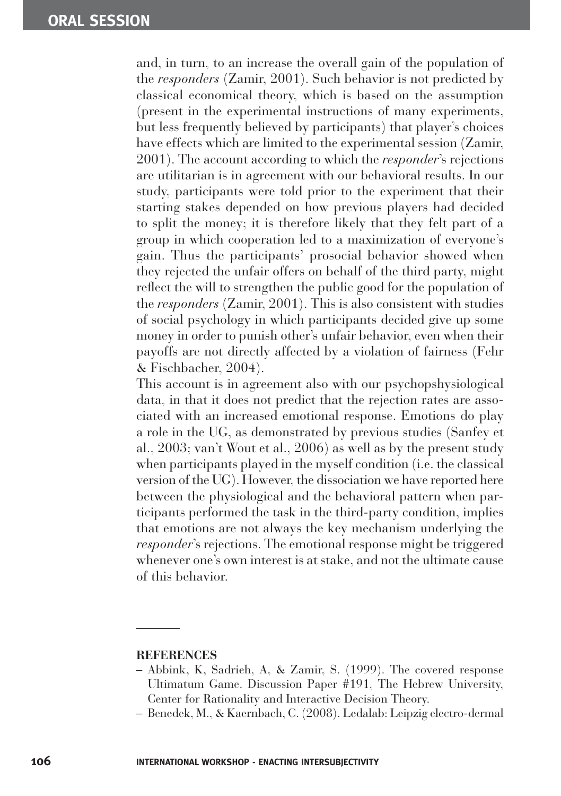and, in turn, to an increase the overall gain of the population of the *responders* (Zamir, 2001). Such behavior is not predicted by classical economical theory, which is based on the assumption (present in the experimental instructions of many experiments, but less frequently believed by participants) that player's choices have effects which are limited to the experimental session (Zamir, 2001). The account according to which the *responder*'s rejections are utilitarian is in agreement with our behavioral results. In our study, participants were told prior to the experiment that their starting stakes depended on how previous players had decided to split the money; it is therefore likely that they felt part of a group in which cooperation led to a maximization of everyone's gain. Thus the participants' prosocial behavior showed when they rejected the unfair offers on behalf of the third party, might reflect the will to strengthen the public good for the population of the *responders* (Zamir, 2001). This is also consistent with studies of social psychology in which participants decided give up some money in order to punish other's unfair behavior, even when their payoffs are not directly affected by a violation of fairness (Fehr & Fischbacher, 2004).

This account is in agreement also with our psychopshysiological data, in that it does not predict that the rejection rates are associated with an increased emotional response. Emotions do play a role in the UG, as demonstrated by previous studies (Sanfey et al., 2003; van't Wout et al., 2006) as well as by the present study when participants played in the myself condition (i.e. the classical version of the UG). However, the dissociation we have reported here between the physiological and the behavioral pattern when participants performed the task in the third-party condition, implies that emotions are not always the key mechanism underlying the *responder*'s rejections. The emotional response might be triggered whenever one's own interest is at stake, and not the ultimate cause of this behavior.

#### **REFERENCES**

- Abbink, K, Sadrieh, A, & Zamir, S. (1999). The covered response Ultimatum Game. Discussion Paper #191, The Hebrew University, Center for Rationality and Interactive Decision Theory.
- Benedek, M., & Kaernbach, C. (2008). Ledalab: Leipzig electro-dermal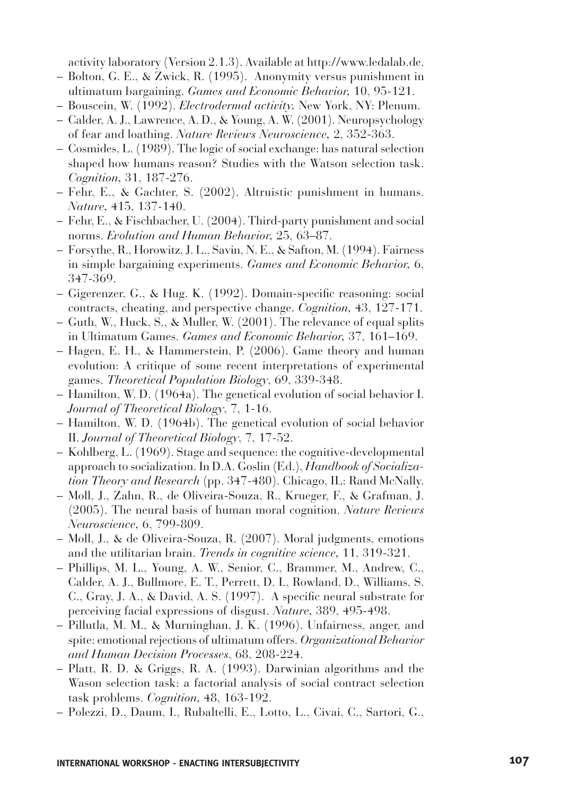activity laboratory (Version 2.1.3). Available at http://www.ledalab.de.

- Bolton, G. E., & Zwick, R. (1995). Anonymity versus punishment in ultimatum bargaining. *Games and Economic Behavior,* 10, 95-121.
- Bouscein, W. (1992). *Electrodermal activity.* New York, NY: Plenum.
- Calder, A. J., Lawrence, A. D., & Young, A. W. (2001). Neuropsychology of fear and loathing. *Nature Reviews Neuroscience,* 2, 352-363.
- Cosmides, L. (1989). The logic of social exchange: has natural selection shaped how humans reason? Studies with the Watson selection task. *Cognition,* 31, 187-276.
- Fehr, E., & Gachter, S. (2002). Altruistic punishment in humans. *Nature,* 415, 137-140.
- Fehr, E., & Fischbacher, U. (2004). Third-party punishment and social norms. *Evolution and Human Behavior,* 25, 63–87.
- Forsythe, R., Horowitz, J. L., Savin, N. E., & Safton, M. (1994). Fairness in simple bargaining experiments. *Games and Economic Behavior,* 6, 347-369.
- $-$  Gigerenzer, G., & Hug, K. (1992). Domain-specific reasoning: social contracts, cheating, and perspective change. *Cognition,* 43, 127-171.
- Guth, W., Huck, S., & Muller, W. (2001). The relevance of equal splits in Ultimatum Games. *Games and Economic Behavior,* 37, 161–169.
- Hagen, E. H., & Hammerstein, P. (2006). Game theory and human evolution: A critique of some recent interpretations of experimental games. *Theoretical Population Biology*, 69, 339-348.
- Hamilton, W. D. (1964a). The genetical evolution of social behavior I. *Journal of Theoretical Biology*, 7, 1-16.
- Hamilton, W. D. (1964b). The genetical evolution of social behavior II. *Journal of Theoretical Biology*, 7, 17-52.
- Kohlberg, L. (1969). Stage and sequence: the cognitive-developmental approach to socialization. In D.A. Goslin (Ed.), *Handbook of Socialization Theory and Research* (pp. 347-480). Chicago, IL: Rand McNally.
- Moll, J., Zahn, R., de Oliveira-Souza, R., Krueger, F., & Grafman, J. (2005). The neural basis of human moral cognition. *Nature Reviews Neuroscience,* 6, 799-809.
- Moll, J., & de Oliveira-Souza, R. (2007). Moral judgments, emotions and the utilitarian brain. *Trends in cognitive science,* 11, 319-321.
- Phillips, M. L., Young, A. W., Senior, C., Brammer, M., Andrew, C., Calder, A. J., Bullmore, E. T., Perrett, D. I., Rowland, D., Williams, S. C., Gray, J. A., & David, A. S. (1997). A specific neural substrate for perceiving facial expressions of disgust. *Nature,* 389, 495-498.
- Pillutla, M. M., & Murninghan, J. K. (1996). Unfairness, anger, and spite: emotional rejections of ultimatum offers. *Organizational Behavior and Human Decision Processes*, 68, 208-224.
- Platt, R. D. & Griggs, R. A. (1993). Darwinian algorithms and the Wason selection task: a factorial analysis of social contract selection task problems. *Cognition,* 48, 163-192.
- Polezzi, D., Daum, I., Rubaltelli, E., Lotto, L., Civai, C., Sartori, G.,